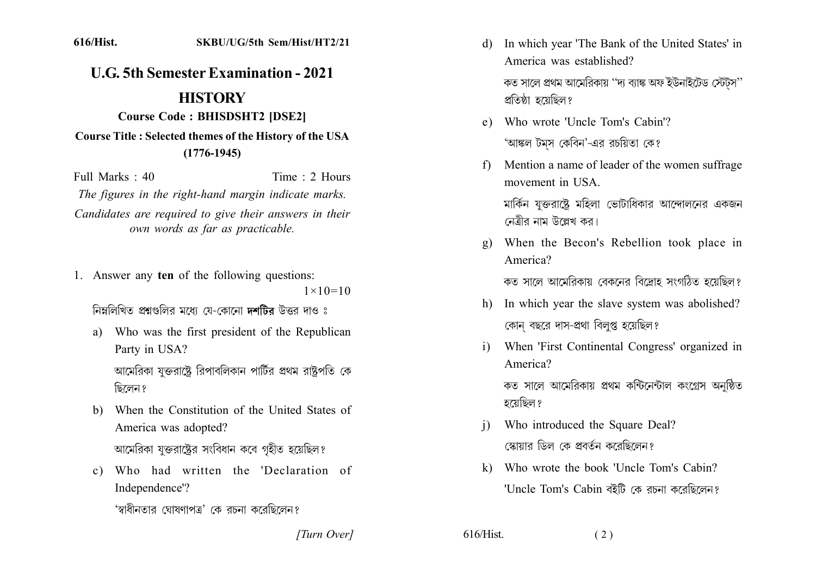## 616/Hist. SKBU/UG/5th Sem/Hist/HT2/21

## **U.G. 5th Semester Examination - 2021 HISTORY Course Code: BHISDSHT2 [DSE2]**

**Course Title: Selected themes of the History of the USA**  $(1776 - 1945)$ 

Time  $\cdot$  2 Hours Full Marks  $\cdot$  40 The figures in the right-hand margin indicate marks.

Candidates are required to give their answers in their own words as far as practicable.

1. Answer any ten of the following questions:

 $1 \times 10 = 10$ 

নিম্নলিখিত প্ৰশ্নগুলির মধ্যে যে-কোনো **দশটির** উত্তর দাও ঃ

- a) Who was the first president of the Republican Party in USA? আমেরিকা যক্তরাষ্টে রিপাবলিকান পার্টির প্রথম রাষ্টপতি কে ছিলেন ?
- b) When the Constitution of the United States of America was adopted? আমেরিকা যুক্তরাষ্ট্রের সংবিধান কবে গৃহীত হয়েছিল?
- c) Who had written the 'Declaration of Independence'?

'স্বাধীনতার ঘোষণাপত্র' কে রচনা করেছিলেন?

In which year 'The Bank of the United States' in d) America was established? কত সালে প্রথম আমেরিকায় ''দ্য ব্যাঙ্ক অফ ইউনাইটেড স্টেটস'' প্রতিষ্ঠা হয়েছিল?

- e) Who wrote 'Uncle Tom's Cabin'? 'আঙ্কল টমস কেবিন'-এর রচয়িতা কে?
- Mention a name of leader of the women suffrage  $f$ movement in USA

মার্কিন যক্তরাষ্টে মহিলা ভোটাধিকার আন্দোলনের একজন নেত্ৰীর নাম উল্লেখ কর।

When the Becon's Rebellion took place in  $\mathfrak{g}$ ) America?

কত সালে আমেরিকায় বেকনের বিদ্রোহ সংগঠিত হয়েছিল?

- h) In which year the slave system was abolished? কোন বছরে দাস-প্রথা বিলপ্ত হয়েছিল?
- i) When 'First Continental Congress' organized in America?

কত সালে আমেরিকায় প্রথম কন্টিনেন্টাল কংগ্রেস অনষ্ঠিত হয়েছিল ?

- Who introduced the Square Deal?  $\mathbf{i}$ স্কোয়ার ডিল কে প্রবর্তন করেছিলেন?
- k) Who wrote the book 'Uncle Tom's Cabin? 'Uncle Tom's Cabin বইটি কে রচনা করেছিলেন?

[Turn Over]

 $616/Hist.$ 

 $(2)$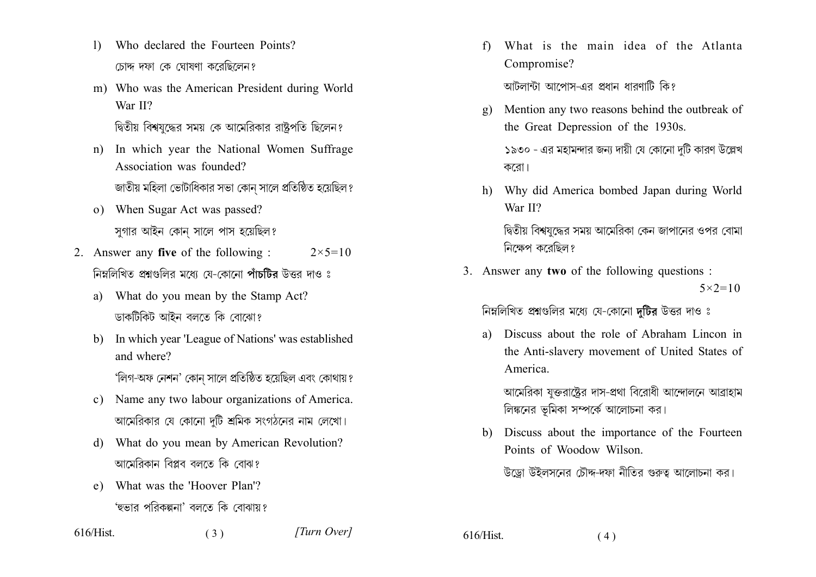- Who declared the Fourteen Points?  $\left| \right\rangle$ চোদ্দ দফা কে ঘোষণা করেছিলেন?
- m) Who was the American President during World War II? দ্বিতীয় বিশ্বযদ্ধের সময় কে আমেরিকার রাষ্ট্রপতি ছিলেন?
- In which year the National Women Suffrage  $n)$ Association was founded? জাতীয় মহিলা ভোটাধিকার সভা কোন সালে প্রতিষ্ঠিত হয়েছিল?
- o) When Sugar Act was passed? সুগার আইন কোন সালে পাস হয়েছিল?
- 2. Answer any **five** of the following :  $2 \times 5 = 10$ নিম্নলিখিত প্ৰশ্নগুলির মধ্যে যে-কোনো পাঁচটির উত্তর দাও ঃ
	- a) What do you mean by the Stamp Act? ডাকটিকিট আইন বলতে কি বোঝো?
	- b) In which year 'League of Nations' was established and where? 'লিগ-অফ নেশন' কোন সালে প্রতিষ্ঠিত হয়েছিল এবং কোথায়?
	- c) Name any two labour organizations of America. আমেরিকার যে কোনো দটি শ্রমিক সংগঠনের নাম লেখো।
	- d) What do you mean by American Revolution? আমেবিকান বিপ্লব বলতে কি বোঝ?

 $(3)$ 

e) What was the 'Hoover Plan'? 'হুভার পরিকল্পনা' বলতে কি বোঝায়?

What is the main idea of the Atlanta  $f$ Compromise?

আটলান্টা আপোস-এর প্রধান ধারণাটি কি?

- Mention any two reasons behind the outbreak of  $\mathbf{g}$ ) the Great Depression of the 1930s. ১৯৩০ - এর মহামন্দার জন্য দায়ী যে কোনো দটি কারণ উল্লেখ করো।
- h) Why did America bombed Japan during World War II?

দ্বিতীয় বিশ্বযুদ্ধের সময় আমেরিকা কেন জাপানের ওপর বোমা নিক্ষেপ করেছিল?

3. Answer any two of the following questions:  $5 \times 2 = 10$ 

নিম্নলিখিত প্রশ্নগুলির মধ্যে যে-কোনো দটির উত্তর দাও ঃ

Discuss about the role of Abraham Lincon in a) the Anti-slavery movement of United States of America.

আমেরিকা যুক্তরাষ্ট্রের দাস-প্রথা বিরোধী আন্দোলনে আব্রাহাম লিঙ্কনের ভূমিকা সম্পর্কে আলোচনা কর।

b) Discuss about the importance of the Fourteen Points of Woodow Wilson

উড়ো উইলসনের চৌদ্দ-দফা নীতির গুরুত্ব আলোচনা কর।

616/Hist.

 $616/Hist$ .